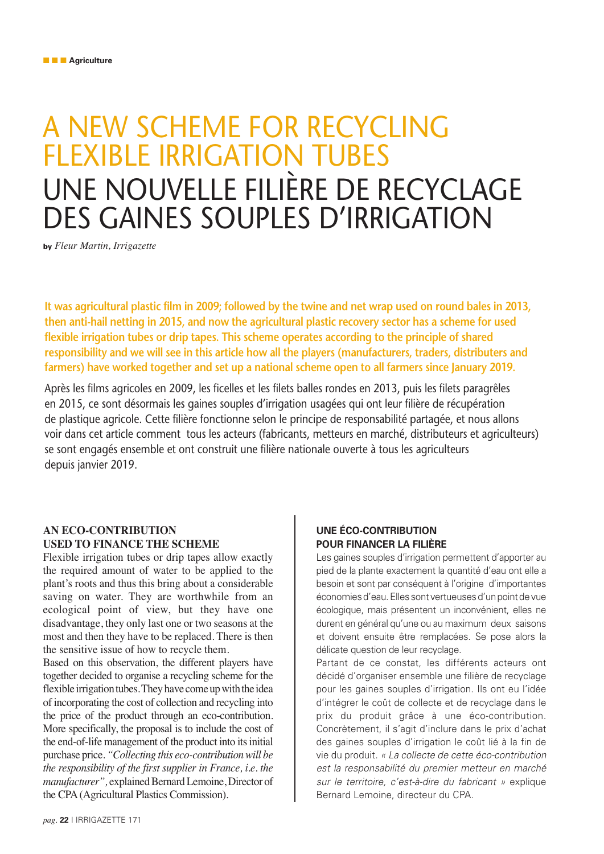# A NEW SCHEME FOR RECYCLING FLEXIBLE IRRIGATION TUBES UNE NOUVELLE FILIÈRE DE RECYCLAGE DES GAINES SOUPLES D'IRRIGATION

**by** *Fleur Martin, Irrigazette*

**It was agricultural plastic film in 2009; followed by the twine and net wrap used on round bales in 2013, then anti-hail netting in 2015, and now the agricultural plastic recovery sector has a scheme for used flexible irrigation tubes or drip tapes. This scheme operates according to the principle of shared responsibility and we will see in this article how all the players (manufacturers, traders, distributers and farmers) have worked together and set up a national scheme open to all farmers since January 2019.**

Après les films agricoles en 2009, les ficelles et les filets balles rondes en 2013, puis les filets paragrêles en 2015, ce sont désormais les gaines souples d'irrigation usagées qui ont leur filière de récupération de plastique agricole. Cette filière fonctionne selon le principe de responsabilité partagée, et nous allons voir dans cet article comment tous les acteurs (fabricants, metteurs en marché, distributeurs et agriculteurs) se sont engagés ensemble et ont construit une filière nationale ouverte à tous les agriculteurs depuis janvier 2019.

# **AN ECO-CONTRIBUTION USED TO FINANCE THE SCHEME**

Flexible irrigation tubes or drip tapes allow exactly the required amount of water to be applied to the plant's roots and thus this bring about a considerable saving on water. They are worthwhile from an ecological point of view, but they have one disadvantage, they only last one or two seasons at the most and then they have to be replaced. There is then the sensitive issue of how to recycle them.

Based on this observation, the different players have together decided to organise a recycling scheme for the flexible irrigation tubes. They have come up with the idea of incorporating the cost of collection and recycling into the price of the product through an eco-contribution. More specifically, the proposal is to include the cost of the end-of-life management of the product into its initial purchase price. *"Collecting this eco-contribution will be the responsibility of the first supplier in France, i.e. the manufacturer",* explained Bernard Lemoine, Director of the CPA (Agricultural Plastics Commission).

## **UNE ÉCO-CONTRIBUTION POUR FINANCER LA FILIÈRE**

Les gaines souples d'irrigation permettent d'apporter au pied de la plante exactement la quantité d'eau ont elle a besoin et sont par conséquent à l'origine d'importantes économies d'eau. Elles sont vertueuses d'un point de vue écologique, mais présentent un inconvénient, elles ne durent en général qu'une ou au maximum deux saisons et doivent ensuite être remplacées. Se pose alors la délicate question de leur recyclage.

Partant de ce constat, les différents acteurs ont décidé d'organiser ensemble une filière de recyclage pour les gaines souples d'irrigation. Ils ont eu l'idée d'intégrer le coût de collecte et de recyclage dans le prix du produit grâce à une éco-contribution. Concrètement, il s'agit d'inclure dans le prix d'achat des gaines souples d'irrigation le coût lié à la fin de vie du produit. « La collecte de cette éco-contribution est la responsabilité du premier metteur en marché sur le territoire, c'est-à-dire du fabricant » explique Bernard Lemoine, directeur du CPA.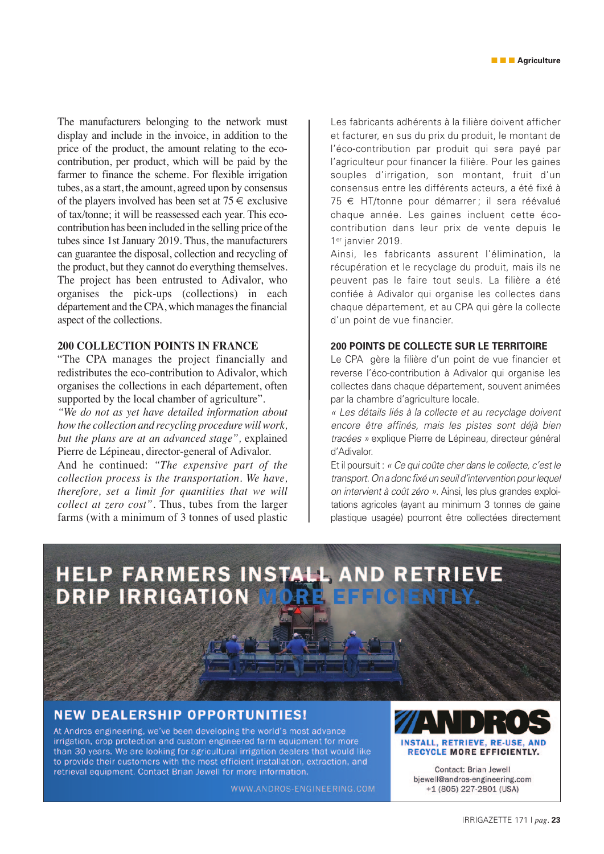The manufacturers belonging to the network must display and include in the invoice, in addition to the price of the product, the amount relating to the ecocontribution, per product, which will be paid by the farmer to finance the scheme. For flexible irrigation tubes, as a start, the amount, agreed upon by consensus of the players involved has been set at  $75 \in$  exclusive of tax/tonne; it will be reassessed each year. This ecocontribution has been included in the selling price of the tubes since 1st January 2019. Thus, the manufacturers can guarantee the disposal, collection and recycling of the product, but they cannot do everything themselves. The project has been entrusted to Adivalor, who organises the pick-ups (collections) in each département and the CPA, which manages the financial aspect of the collections.

#### **200 COLLECTION POINTS IN FRANCE**

"The CPA manages the project financially and redistributes the eco-contribution to Adivalor, which organises the collections in each département, often supported by the local chamber of agriculture".

*"We do not as yet have detailed information about how the collection and recycling procedure will work, but the plans are at an advanced stage",* explained Pierre de Lépineau, director-general of Adivalor.

And he continued: *"The expensive part of the collection process is the transportation. We have, therefore, set a limit for quantities that we will collect at zero cost".* Thus, tubes from the larger farms (with a minimum of 3 tonnes of used plastic Les fabricants adhérents à la filière doivent afficher et facturer, en sus du prix du produit, le montant de l'éco-contribution par produit qui sera payé par l'agriculteur pour financer la filière. Pour les gaines souples d'irrigation, son montant, fruit d'un consensus entre les différents acteurs, a été fixé à 75 € HT/tonne pour démarrer ; il sera réévalué chaque année. Les gaines incluent cette écocontribution dans leur prix de vente depuis le 1<sup>er</sup> janvier 2019.

Ainsi, les fabricants assurent l'élimination, la récupération et le recyclage du produit, mais ils ne peuvent pas le faire tout seuls. La filière a été confiée à Adivalor qui organise les collectes dans chaque département, et au CPA qui gère la collecte d'un point de vue financier.

#### **200 POINTS DE COLLECTE SUR LE TERRITOIRE**

Le CPA gère la filière d'un point de vue financier et reverse l'éco-contribution à Adivalor qui organise les collectes dans chaque département, souvent animées par la chambre d'agriculture locale.

« Les détails liés à la collecte et au recyclage doivent encore être affinés, mais les pistes sont déjà bien tracées » explique Pierre de Lépineau, directeur général d'Adivalor.

Et il poursuit : « Ce qui coûte cher dans le collecte, c'est le transport. On a donc fixé un seuil d'intervention pour lequel on intervient à coût zéro ». Ainsi, les plus grandes exploitations agricoles (ayant au minimum 3 tonnes de gaine plastique usagée) pourront être collectées directement

# HELP FARMERS INSTALL AND RETRIEVE **DRIP IRRIGATION CIENTRY**

# **NEW DEALERSHIP OPPORTUNITIES!**

At Andros engineering, we've been developing the world's most advance irrigation, crop protection and custom engineered farm equipment for more than 30 years. We are looking for agricultural irrigation dealers that would like to provide their customers with the most efficient installation, extraction, and retrieval equipment. Contact Brian Jewell for more information.

WWW.ANDROS-ENGINEERING.COM

# **INSTALL, RETRIEVE, RE-USE, AND RECYCLE MORE EFFICIENTLY.**

Contact: Brian Jewell bjewell@andros-engineering.com +1 (805) 227-2801 (USA)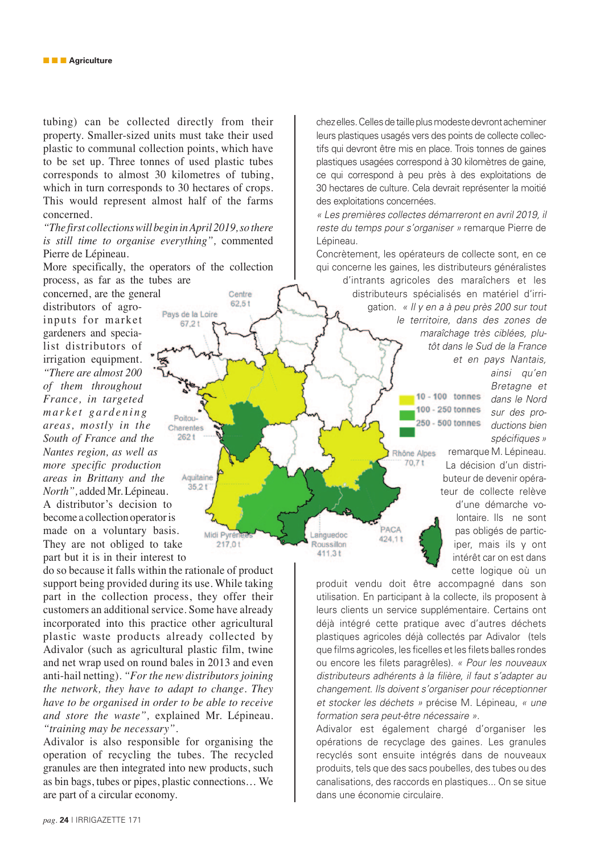tubing) can be collected directly from their property. Smaller-sized units must take their used plastic to communal collection points, which have to be set up. Three tonnes of used plastic tubes corresponds to almost 30 kilometres of tubing, which in turn corresponds to 30 hectares of crops. This would represent almost half of the farms concerned.

*"The first collections will begin in April 2019, so there is still time to organise everything",* commented Pierre de Lépineau.

More specifically, the operators of the collection process, as far as the tubes are

 $67.2t$ 

Poitou-

 $262t$ 

Aquitaine  $35,21$ 

Midi Pyrén

Centre  $62.5t$ 

concerned, are the general distributors of agro-Pays de la Loire inputs for market gardeners and specia list distributors of irrigation equipment. *"There are almost 200 of them throughout France, in targeted market gardening areas, mostly in the*  Charentes *South of France and the Nantes region, as well as more specific production areas in Brittany and the North",* added Mr. Lépineau. A distributor's decision to become a collection operator is made on a voluntary basis. They are not obliged to take part but it is in their interest to

do so because it falls within the rationale of product support being provided during its use. While taking part in the collection process, they offer their customers an additional service. Some have already incorporated into this practice other agricultural plastic waste products already collected by Adivalor (such as agricultural plastic film, twine and net wrap used on round bales in 2013 and even anti-hail netting). *"For the new distributors joining the network, they have to adapt to change. They have to be organised in order to be able to receive and store the waste",* explained Mr. Lépineau. *"training may be necessary"*.

Adivalor is also responsible for organising the operation of recycling the tubes. The recycled granules are then integrated into new products, such as bin bags, tubes or pipes, plastic connections… We are part of a circular economy.

chez elles. Celles de taille plus modeste devront acheminer leurs plastiques usagés vers des points de collecte collectifs qui devront être mis en place. Trois tonnes de gaines plastiques usagées correspond à 30 kilomètres de gaine, ce qui correspond à peu près à des exploitations de 30 hectares de culture. Cela devrait représenter la moitié des exploitations concernées.

« Les premières collectes démarreront en avril 2019, il reste du temps pour s'organiser » remarque Pierre de Lépineau.

Concrètement, les opérateurs de collecte sont, en ce qui concerne les gaines, les distributeurs généralistes

> d'intrants agricoles des maraîchers et les distributeurs spécialisés en matériel d'irrigation. « Il y en a à peu près 200 sur tout le territoire, dans des zones de maraîchage très ciblées, plutôt dans le Sud de la France et en pays Nantais,

> > $10 - 100$  tonnes 100 - 250 tonnes 250 - 500 tonnes

Rhône Alpes  $70.7t$ 

PACA

424.1t

Languedoc

Roussillon  $411.3t$ 

ainsi qu'en Bretagne et dans le Nord sur des productions bien spécifiques »

remarque M. Lépineau. La décision d'un distributeur de devenir opérateur de collecte relève d'une démarche volontaire. Ils ne sont pas obligés de participer, mais ils y ont intérêt car on est dans cette logique où un

produit vendu doit être accompagné dans son utilisation. En participant à la collecte, ils proposent à leurs clients un service supplémentaire. Certains ont déjà intégré cette pratique avec d'autres déchets plastiques agricoles déjà collectés par Adivalor (tels que films agricoles, les ficelles et les filets balles rondes ou encore les filets paragrêles). « Pour les nouveaux distributeurs adhérents à la filière, il faut s'adapter au changement. Ils doivent s'organiser pour réceptionner et stocker les déchets » précise M. Lépineau, « une formation sera peut-être nécessaire ».

Adivalor est également chargé d'organiser les opérations de recyclage des gaines. Les granules recyclés sont ensuite intégrés dans de nouveaux produits, tels que des sacs poubelles, des tubes ou des canalisations, des raccords en plastiques... On se situe dans une économie circulaire.